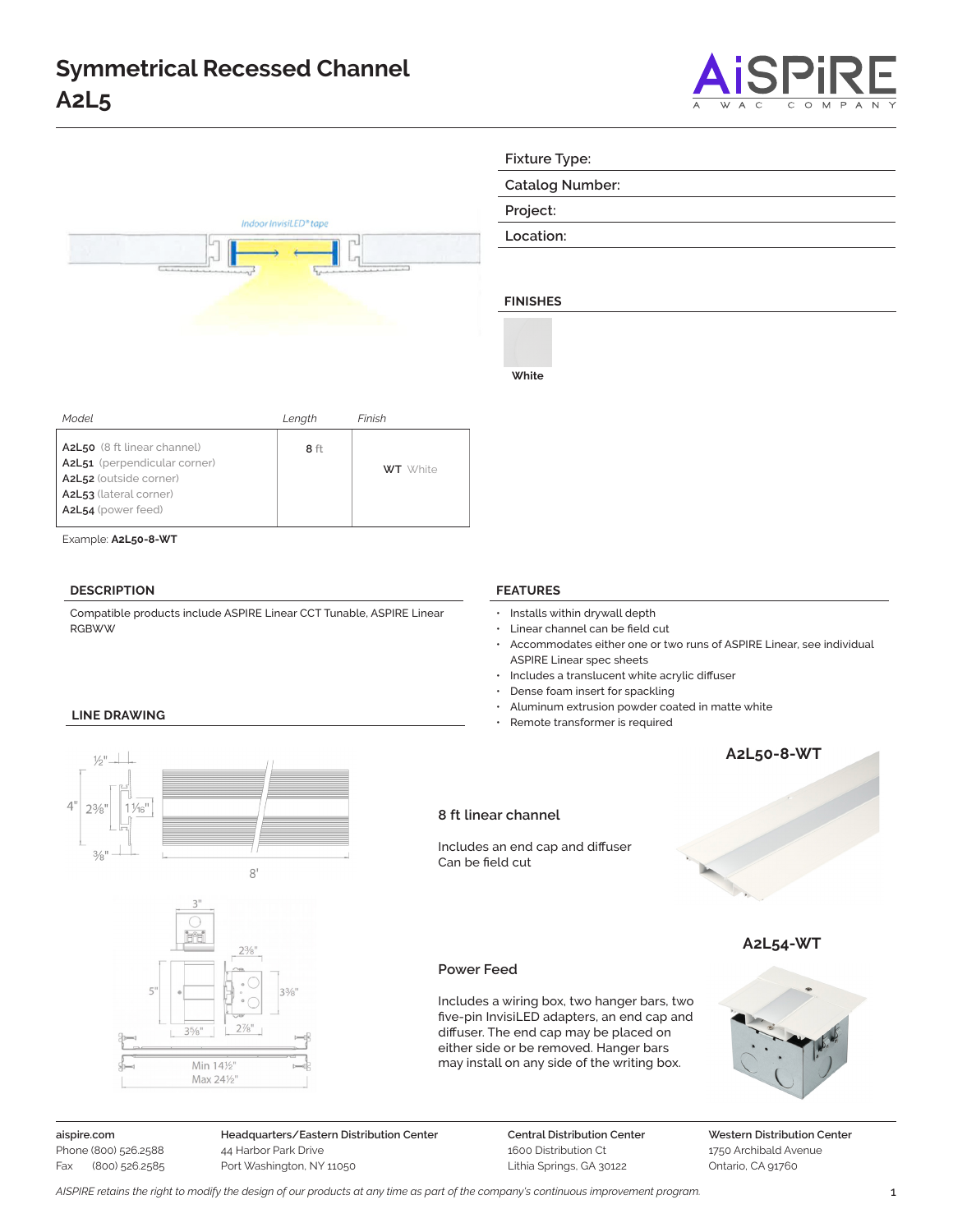



**Fixture Type:**

**Catalog Number:**

**Project:**

**Location:**

# **FINISHES**

**White**

**FEATURES**

| Model                                                                                                                                 | Length | Finish          |
|---------------------------------------------------------------------------------------------------------------------------------------|--------|-----------------|
| A2L50 (8 ft linear channel)<br>A2L51 (perpendicular corner)<br>A2L52 (outside corner)<br>A2L53 (lateral corner)<br>A2L54 (power feed) | 8 ft   | <b>WT</b> White |
|                                                                                                                                       |        |                 |

Example: **A2L50-8-WT**

### **DESCRIPTION**

- Accommodates either one or two runs of ASPIRE Linear, see individual ASPIRE Linear spec sheets
- Includes a translucent white acrylic diffuser
- Dense foam insert for spackling

• Installs within drywall depth • Linear channel can be field cut

- Aluminum extrusion powder coated in matte white
- Remote transformer is required



## **Power Feed**

Can be field cut

Includes a wiring box, two hanger bars, two five-pin InvisiLED adapters, an end cap and diffuser. The end cap may be placed on either side or be removed. Hanger bars may install on any side of the writing box.



**aispire.com** Phone (800) 526.2588 Fax (800) 526.2585 **Headquarters/Eastern Distribution Center** 44 Harbor Park Drive Port Washington, NY 11050

**Central Distribution Center** 1600 Distribution Ct Lithia Springs, GA 30122

**Western Distribution Center**  1750 Archibald Avenue Ontario, CA 91760

Compatible products include ASPIRE Linear CCT Tunable, ASPIRE Linear RGBWW

## **LINE DRAWING**